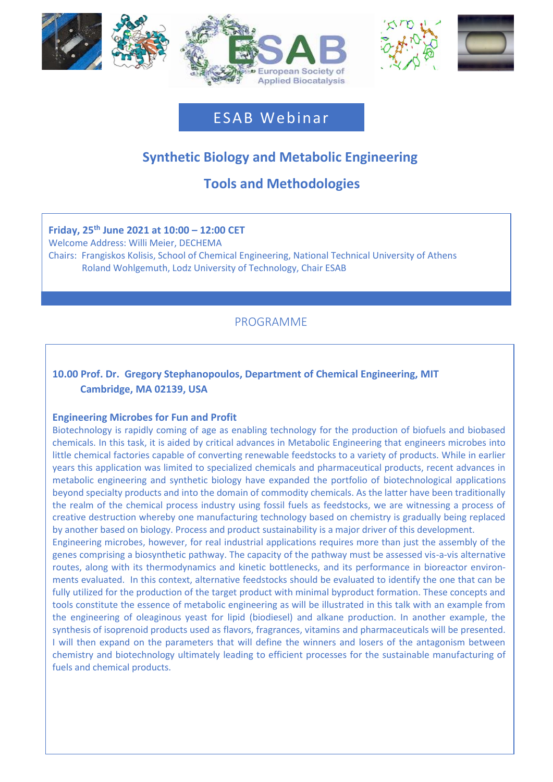





# ESAB Webinar

# **Synthetic Biology and Metabolic Engineering**

# **Tools and Methodologies**

# **Friday, 25 th June 2021 at 10:00 – 12:00 CET**

Moderator: Willi Meier, DECHEMA, Frankfurt, Germany

Welcome Address: Willi Meier, DECHEMA

Chairs: Frangiskos Kolisis, School of Chemical Engineering, National Technical University of Athens Roland Wohlgemuth, Lodz University of Technology, Chair ESAB

# PROGRAMME

# **10.00 Prof. Dr. Gregory Stephanopoulos, Department of Chemical Engineering, MIT Cambridge, MA 02139, USA**

### **Engineering Microbes for Fun and Profit**

Biotechnology is rapidly coming of age as enabling technology for the production of biofuels and biobased chemicals. In this task, it is aided by critical advances in Metabolic Engineering that engineers microbes into little chemical factories capable of converting renewable feedstocks to a variety of products. While in earlier years this application was limited to specialized chemicals and pharmaceutical products, recent advances in metabolic engineering and synthetic biology have expanded the portfolio of biotechnological applications beyond specialty products and into the domain of commodity chemicals. As the latter have been traditionally the realm of the chemical process industry using fossil fuels as feedstocks, we are witnessing a process of creative destruction whereby one manufacturing technology based on chemistry is gradually being replaced by another based on biology. Process and product sustainability is a major driver of this development.

Engineering microbes, however, for real industrial applications requires more than just the assembly of the genes comprising a biosynthetic pathway. The capacity of the pathway must be assessed vis-a-vis alternative routes, along with its thermodynamics and kinetic bottlenecks, and its performance in bioreactor environments evaluated. In this context, alternative feedstocks should be evaluated to identify the one that can be fully utilized for the production of the target product with minimal byproduct formation. These concepts and tools constitute the essence of metabolic engineering as will be illustrated in this talk with an example from the engineering of oleaginous yeast for lipid (biodiesel) and alkane production. In another example, the synthesis of isoprenoid products used as flavors, fragrances, vitamins and pharmaceuticals will be presented. I will then expand on the parameters that will define the winners and losers of the antagonism between chemistry and biotechnology ultimately leading to efficient processes for the sustainable manufacturing of fuels and chemical products.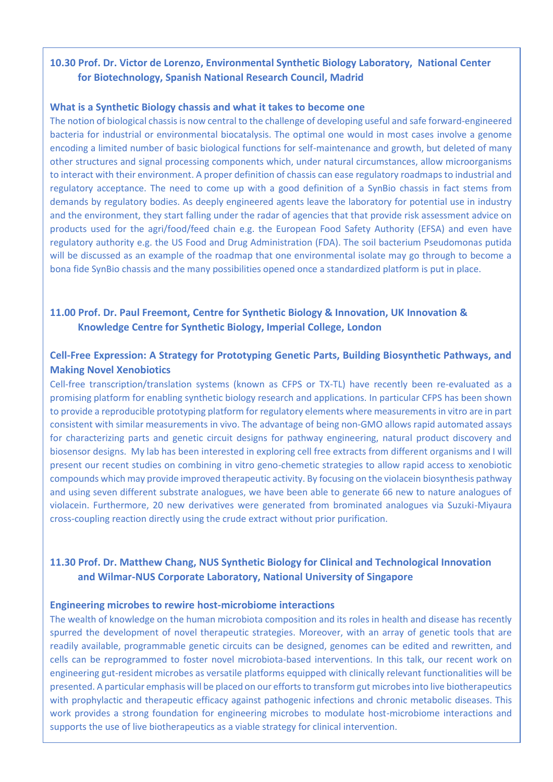## **10.30 Prof. Dr. Victor de Lorenzo, Environmental Synthetic Biology Laboratory, National Center for Biotechnology, Spanish National Research Council, Madrid**

#### **What is a Synthetic Biology chassis and what it takes to become one**

The notion of biological chassis is now central to the challenge of developing useful and safe forward-engineered bacteria for industrial or environmental biocatalysis. The optimal one would in most cases involve a genome encoding a limited number of basic biological functions for self-maintenance and growth, but deleted of many other structures and signal processing components which, under natural circumstances, allow microorganisms to interact with their environment. A proper definition of chassis can ease regulatory roadmaps to industrial and regulatory acceptance. The need to come up with a good definition of a SynBio chassis in fact stems from demands by regulatory bodies. As deeply engineered agents leave the laboratory for potential use in industry and the environment, they start falling under the radar of agencies that that provide risk assessment advice on products used for the agri/food/feed chain e.g. the European Food Safety Authority (EFSA) and even have regulatory authority e.g. the US Food and Drug Administration (FDA). The soil bacterium Pseudomonas putida will be discussed as an example of the roadmap that one environmental isolate may go through to become a bona fide SynBio chassis and the many possibilities opened once a standardized platform is put in place.

## **11.00 Prof. Dr. Paul Freemont, Centre for Synthetic Biology & Innovation, UK Innovation & Knowledge Centre for Synthetic Biology, Imperial College, London**

## **Cell-Free Expression: A Strategy for Prototyping Genetic Parts, Building Biosynthetic Pathways, and Making Novel Xenobiotics**

Cell-free transcription/translation systems (known as CFPS or TX-TL) have recently been re-evaluated as a promising platform for enabling synthetic biology research and applications. In particular CFPS has been shown to provide a reproducible prototyping platform for regulatory elements where measurements in vitro are in part consistent with similar measurements in vivo. The advantage of being non-GMO allows rapid automated assays for characterizing parts and genetic circuit designs for pathway engineering, natural product discovery and biosensor designs. My lab has been interested in exploring cell free extracts from different organisms and I will present our recent studies on combining in vitro geno-chemetic strategies to allow rapid access to xenobiotic compounds which may provide improved therapeutic activity. By focusing on the violacein biosynthesis pathway and using seven different substrate analogues, we have been able to generate 66 new to nature analogues of violacein. Furthermore, 20 new derivatives were generated from brominated analogues via Suzuki-Miyaura cross-coupling reaction directly using the crude extract without prior purification.

# **11.30 Prof. Dr. Matthew Chang, NUS Synthetic Biology for Clinical and Technological Innovation and Wilmar-NUS Corporate Laboratory, National University of Singapore**

#### **Engineering microbes to rewire host-microbiome interactions**

The wealth of knowledge on the human microbiota composition and its roles in health and disease has recently spurred the development of novel therapeutic strategies. Moreover, with an array of genetic tools that are readily available, programmable genetic circuits can be designed, genomes can be edited and rewritten, and cells can be reprogrammed to foster novel microbiota-based interventions. In this talk, our recent work on engineering gut-resident microbes as versatile platforms equipped with clinically relevant functionalities will be presented. A particular emphasis will be placed on our efforts to transform gut microbes into live biotherapeutics with prophylactic and therapeutic efficacy against pathogenic infections and chronic metabolic diseases. This work provides a strong foundation for engineering microbes to modulate host-microbiome interactions and supports the use of live biotherapeutics as a viable strategy for clinical intervention.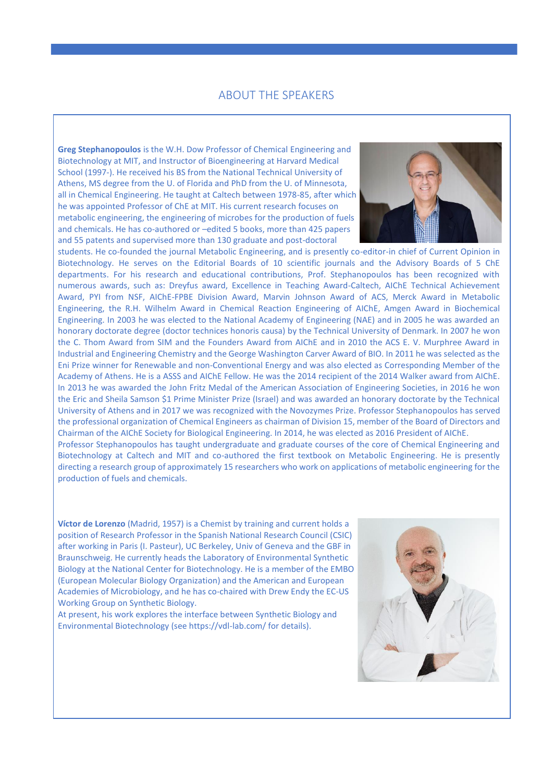#### ABOUT THE SPEAKERS

**Greg Stephanopoulos** is the W.H. Dow Professor of Chemical Engineering and Biotechnology at MIT, and Instructor of Bioengineering at Harvard Medical School (1997-). He received his BS from the National Technical University of Athens, MS degree from the U. of Florida and PhD from the U. of Minnesota, all in Chemical Engineering. He taught at Caltech between 1978-85, after which he was appointed Professor of ChE at MIT. His current research focuses on metabolic engineering, the engineering of microbes for the production of fuels and chemicals. He has co-authored or –edited 5 books, more than 425 papers and 55 patents and supervised more than 130 graduate and post-doctoral



Anthony Green, University of Manchester Biotechnology. He serves on the Editorial Boards of 10 scientific journals and the Advisory Boards of 5 ChE departments. For his research and educational contributions, Prof. Stephanopoulos has been recognized with students. He co-founded the journal Metabolic Engineering, and is presently co-editor-in chief of Current Opinion in numerous awards, such as: Dreyfus award, Excellence in Teaching Award-Caltech, AIChE Technical Achievement Award, PYI from NSF, AIChE-FPBE Division Award, Marvin Johnson Award of ACS, Merck Award in Metabolic Engineering, the R.H. Wilhelm Award in Chemical Reaction Engineering of AIChE, Amgen Award in Biochemical Engineering. In 2003 he was elected to the National Academy of Engineering (NAE) and in 2005 he was awarded an honorary doctorate degree (doctor technices honoris causa) by the Technical University of Denmark. In 2007 he won the C. Thom Award from SIM and the Founders Award from AIChE and in 2010 the ACS E. V. Murphree Award in Industrial and Engineering Chemistry and the George Washington Carver Award of BIO. In 2011 he was selected as the Eni Prize winner for Renewable and non-Conventional Energy and was also elected as Corresponding Member of the Academy of Athens. He is a ASSS and AIChE Fellow. He was the 2014 recipient of the 2014 Walker award from AIChE. In 2013 he was awarded the John Fritz Medal of the American Association of Engineering Societies, in 2016 he won the Eric and Sheila Samson \$1 Prime Minister Prize (Israel) and was awarded an honorary doctorate by the Technical University of Athens and in 2017 we was recognized with the Novozymes Prize. Professor Stephanopoulos has served the professional organization of Chemical Engineers as chairman of Division 15, member of the Board of Directors and Chairman of the AIChE Society for Biological Engineering. In 2014, he was elected as 2016 President of AIChE. Professor Stephanopoulos has taught undergraduate and graduate courses of the core of Chemical Engineering and

Biotechnology at Caltech and MIT and co-authored the first textbook on Metabolic Engineering. He is presently directing a research group of approximately 15 researchers who work on applications of metabolic engineering for the production of fuels and chemicals.

**Víctor de Lorenzo** (Madrid, 1957) is a Chemist by training and current holds a position of Research Professor in the Spanish National Research Council (CSIC) after working in Paris (I. Pasteur), UC Berkeley, Univ of Geneva and the GBF in Braunschweig. He currently heads the Laboratory of Environmental Synthetic Biology at the National Center for Biotechnology. He is a member of the EMBO (European Molecular Biology Organization) and the American and European Academies of Microbiology, and he has co-chaired with Drew Endy the EC-US Working Group on Synthetic Biology.

At present, his work explores the interface between Synthetic Biology and Environmental Biotechnology (see https://vdl-lab.com/ for details).